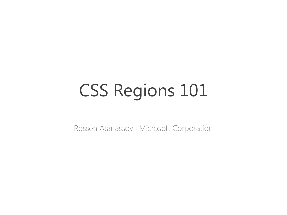## CSS Regions 101

Rossen Atanassov | Microsoft Corporation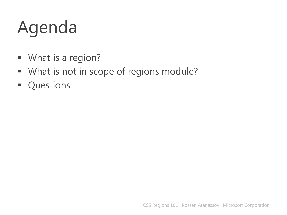## Agenda

- **What is a region?**
- **What is not in scope of regions module?**
- **Questions**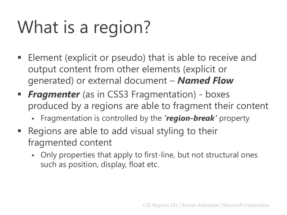# What is a region?

- Element (explicit or pseudo) that is able to receive and output content from other elements (explicit or generated) or external document – *Named Flow*
- **Filter** (as in CSS3 Fragmentation) boxes produced by a regions are able to fragment their content
	- Fragmentation is controlled by the *'region-break'* property
- Regions are able to add visual styling to their fragmented content
	- Only properties that apply to first-line, but not structural ones such as position, display, float etc.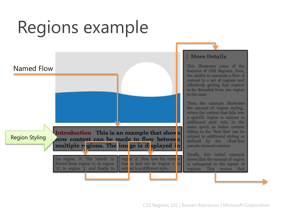## Regions example



CSS Regions 101 | Rossen Atanassov | Microsoft Corporation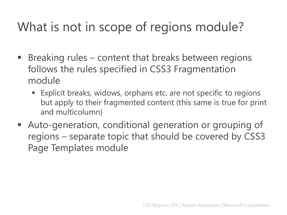#### What is not in scope of regions module?

- **Breaking rules content that breaks between regions** follows the rules specified in CSS3 Fragmentation module
	- Explicit breaks, widows, orphans etc. are not specific to regions but apply to their fragmented content (this same is true for print and multicolumn)
- Auto-generation, conditional generation or grouping of regions – separate topic that should be covered by CSS3 Page Templates module